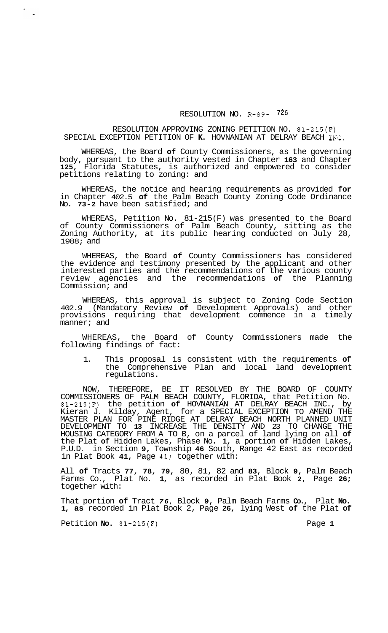## RESOLUTION NO. R-89- 726

## RESOLUTION APPROVING ZONING PETITION NO. 81-215(F) SPECIAL EXCEPTION PETITION OF **K.** HOVNANIAN AT DELRAY BEACH INC.

WHEREAS, the Board **of** County Commissioners, as the governing body, pursuant to the authority vested in Chapter **163** and Chapter **125,** Florida Statutes, is authorized and empowered to consider petitions relating to zoning: and

WHEREAS, the notice and hearing requirements as provided **for**  in Chapter 402.5 **of** the Palm Beach County Zoning Code Ordinance No. **73-2** have been satisfied; and

WHEREAS, Petition No. 81-215 (F) was presented to the Board of County Commissioners of Palm Beach County, sitting as the Zoning Authority, at its public hearing conducted on July 28, 1988; and

WHEREAS, the Board **of** County Commissioners has considered the evidence and testimony presented by the applicant and other interested parties and the recommendations of the various county review agencies and the recommendations **of** the Planning Commission; and

WHEREAS, this approval is subject to Zoning Code Section 402.9 (Mandatory Review **of** Development Approvals) and other provisions requiring that development commence in a timely manner; and

WHEREAS, the Board of County Commissioners made the following findings of fact:

1. This proposal is consistent with the requirements **of**  the Comprehensive Plan and local land development regulations.

NOW, THEREFORE, BE IT RESOLVED BY THE BOARD OF COUNTY COMMISSIONERS OF PALM BEACH COUNTY, FLORIDA, that Petition No. 81-215(F) the petition **of** HOVNANIAN AT DELRAY BEACH INC., by Kieran J. Kilday, Agent, for a SPECIAL EXCEPTION TO AMEND THE MASTER PLAN FOR PINE RIDGE AT DELRAY BEACH NORTH PLANNED UNIT DEVELOPMENT TO **13** INCREASE THE DENSITY AND 23 TO CHANGE THE HOUSING CATEGORY FROM A TO B, on a parcel of land lying on all **of**  the Plat **of** Hidden Lakes, Phase No. **1,** a portion **of** Hidden Lakes, P.U.D. in Section **9,** Township **46** South, Range 42 East as recorded in Plat Book **41,** Page 41; together with:

All **of** Tracts **77, 78, 79,** 80, 81, 82 and **83,** Block **9,** Palm Beach Farms Co., Plat No. **1,** as recorded in Plat Book **2,** Page **26;**  together with:

That portion **of** Tract *76,* Block **9,** Palm Beach Farms **Co.,** Plat **No. 1, as** recorded in Plat Book 2, Page **26,** lying West **of** the Plat **of** 

Petition **No.** 81-215(F) Page 1

 $\sim$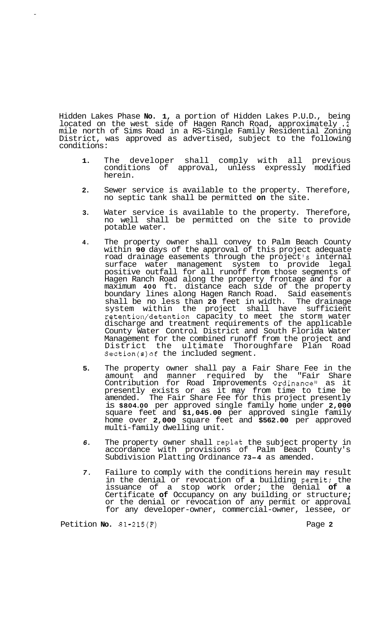Hidden Lakes Phase **No. 1,** a portion of Hidden Lakes P.U.D., being located on the west side of Hagen Ranch Road, approximately **.2**  mile north of Sims Road in a RS-Single Family Residential Zoning District, was approved as advertised, subject to the following conditions:

- **1.** The developer shall comply with all previous conditions of approval, unless expressly modified herein.
- **2.** Sewer service is available to the property. Therefore, no septic tank shall be permitted **on** the site.
- **3.** Water service is available to the property. Therefore, no well shall be permitted on the site to provide potable water.
- **4.** The property owner shall convey to Palm Beach County within **90** days of the approval of this project adequate road drainage easements through the project *'s* internal surface water management system to provide legal positive outfall for all runoff from those segments of Hagen Ranch Road along the property frontage and for a maximum **400** ft. distance each side of the property boundary lines along Hagen Ranch Road. Said easements shall be no less than **20** feet in width. The drainage system within the project shall have sufficient retention/detention capacity to meet the storm water discharge and treatment requirements of the applicable County Water Control District and South Florida Water Management for the combined runoff from the project and District the ultimate Thoroughfare Plan Road Section(s) of the included segment.
- **5.** The property owner shall pay a Fair Share Fee in the amount and manner required by the "Fair Share Contribution for Road Improvements Ordinance'' as it presently exists or as it may from time to time be amended. The Fair Share Fee for this project presently is **\$804.00** per approved single family home under **2,000**  square feet and **\$1,045.00** per approved single family home over **2,000** square feet and **\$562.00** per approved multi-family dwelling unit.
- *6.* The property owner shall replat the subject property in accordance with provisions of Palm Beach County's Subdivision Platting Ordinance **73-4** as amended.
- *7.* Failure to comply with the conditions herein may result in the denial or revocation of **a** building permit; the issuance of a stop work order; the denial **of a**  Certificate **of** Occupancy on any building or structure; or the denial or revocation of any permit or approval for any developer-owner, commercial-owner, lessee, or

Petition **No.** 81-215(F) Page 2